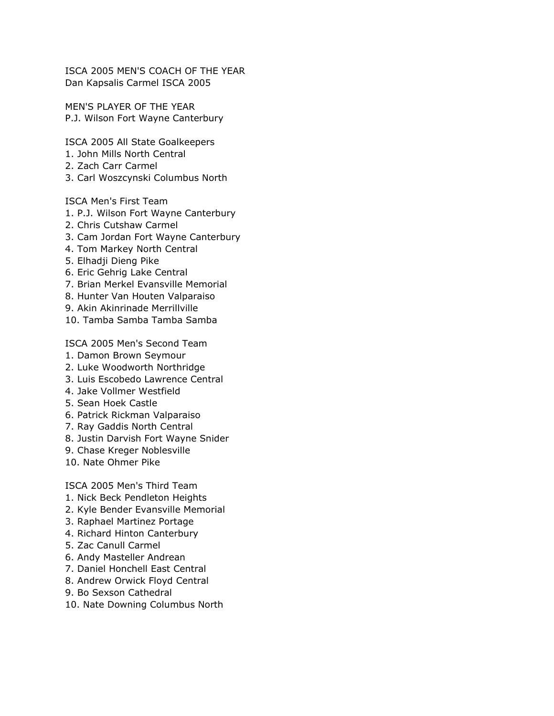ISCA 2005 MEN'S COACH OF THE YEAR Dan Kapsalis Carmel ISCA 2005

MEN'S PLAYER OF THE YEAR P.J. Wilson Fort Wayne Canterbury

ISCA 2005 All State Goalkeepers

- 1. John Mills North Central
- 2. Zach Carr Carmel
- 3. Carl Woszcynski Columbus North

ISCA Men's First Team

- 1. P.J. Wilson Fort Wayne Canterbury
- 2. Chris Cutshaw Carmel
- 3. Cam Jordan Fort Wayne Canterbury
- 4. Tom Markey North Central
- 5. Elhadji Dieng Pike
- 6. Eric Gehrig Lake Central
- 7. Brian Merkel Evansville Memorial
- 8. Hunter Van Houten Valparaiso
- 9. Akin Akinrinade Merrillville
- 10. Tamba Samba Tamba Samba

ISCA 2005 Men's Second Team

- 1. Damon Brown Seymour
- 2. Luke Woodworth Northridge
- 3. Luis Escobedo Lawrence Central
- 4. Jake Vollmer Westfield
- 5. Sean Hoek Castle
- 6. Patrick Rickman Valparaiso
- 7. Ray Gaddis North Central
- 8. Justin Darvish Fort Wayne Snider
- 9. Chase Kreger Noblesville
- 10. Nate Ohmer Pike

ISCA 2005 Men's Third Team

- 1. Nick Beck Pendleton Heights
- 2. Kyle Bender Evansville Memorial
- 3. Raphael Martinez Portage
- 4. Richard Hinton Canterbury
- 5. Zac Canull Carmel
- 6. Andy Masteller Andrean
- 7. Daniel Honchell East Central
- 8. Andrew Orwick Floyd Central
- 9. Bo Sexson Cathedral
- 10. Nate Downing Columbus North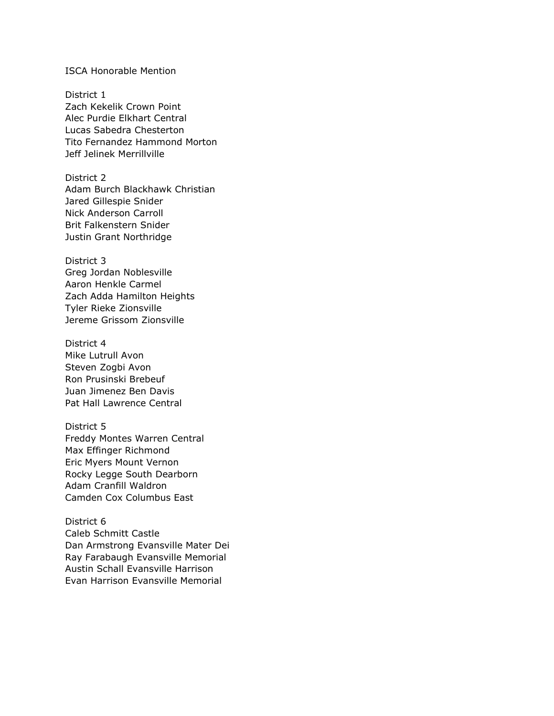#### ISCA Honorable Mention

District 1 Zach Kekelik Crown Point Alec Purdie Elkhart Central Lucas Sabedra Chesterton Tito Fernandez Hammond Morton Jeff Jelinek Merrillville

District 2 Adam Burch Blackhawk Christian Jared Gillespie Snider Nick Anderson Carroll Brit Falkenstern Snider Justin Grant Northridge

District 3 Greg Jordan Noblesville Aaron Henkle Carmel Zach Adda Hamilton Heights Tyler Rieke Zionsville

Jereme Grissom Zionsville

District 4 Mike Lutrull Avon Steven Zogbi Avon Ron Prusinski Brebeuf Juan Jimenez Ben Davis Pat Hall Lawrence Central

District 5 Freddy Montes Warren Central Max Effinger Richmond Eric Myers Mount Vernon Rocky Legge South Dearborn Adam Cranfill Waldron Camden Cox Columbus East

District 6 Caleb Schmitt Castle Dan Armstrong Evansville Mater Dei Ray Farabaugh Evansville Memorial Austin Schall Evansville Harrison Evan Harrison Evansville Memorial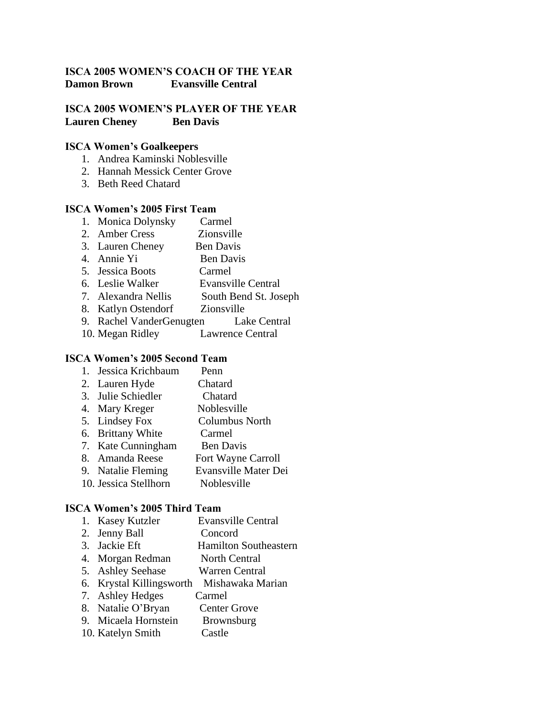## **ISCA 2005 WOMEN'S COACH OF THE YEAR Damon Brown Evansville Central**

### **ISCA 2005 WOMEN'S PLAYER OF THE YEAR Lauren Cheney Ben Davis**

### **ISCA Women's Goalkeepers**

- 1. Andrea Kaminski Noblesville
- 2. Hannah Messick Center Grove
- 3. Beth Reed Chatard

#### **ISCA Women's 2005 First Team**

- 1. Monica Dolynsky Carmel
- 2. Amber Cress Zionsville
- 3. Lauren Cheney Ben Davis
- 4. Annie Yi Ben Davis
- 5. Jessica Boots Carmel
- 6. Leslie Walker Evansville Central
- 7. Alexandra Nellis South Bend St. Joseph
- 8. Katlyn Ostendorf Zionsville
- 9. Rachel VanderGenugten Lake Central
- 10. Megan Ridley Lawrence Central

#### **ISCA Women's 2005 Second Team**

- 1. Jessica Krichbaum Penn
- 2. Lauren Hyde Chatard
- 3. Julie Schiedler Chatard
- 4. Mary Kreger Noblesville
- 5. Lindsey Fox Columbus North
- 6. Brittany White Carmel
- 7. Kate Cunningham Ben Davis
- 8. Amanda Reese Fort Wayne Carroll
- 9. Natalie Fleming Evansville Mater Dei
- 10. Jessica Stellhorn Noblesville

### **ISCA Women's 2005 Third Team**

- 1. Kasey Kutzler Evansville Central
- 2. Jenny Ball Concord
- 3. Jackie Eft Hamilton Southeastern
- 4. Morgan Redman North Central
- 5. Ashley Seehase Warren Central
- 6. Krystal Killingsworth Mishawaka Marian
- 7. Ashley Hedges Carmel
- 8. Natalie O'Bryan Center Grove
- 9. Micaela Hornstein Brownsburg
- 10. Katelyn Smith Castle